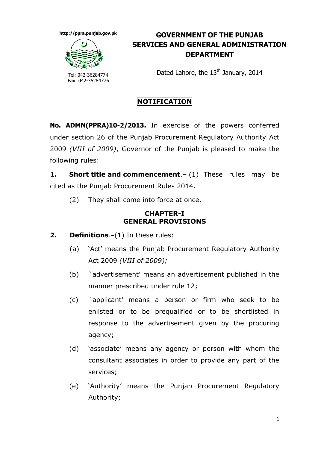**http://ppra.punjab.gov.pk**



Tel: 042-36284774 Fax: 042-36284776

## **GOVERNMENT OF THE PUNJAB SERVICES AND GENERAL ADMINISTRATION DEPARTMENT**

Dated Lahore, the 13<sup>th</sup> January, 2014

## **NOTIFICATION**

**No. ADMN(PPRA)10-2/2013.** In exercise of the powers conferred under section 26 of the Punjab Procurement Regulatory Authority Act 2009 *(VIII of 2009)*, Governor of the Punjab is pleased to make the following rules:

**1. Short title and commencement**.– (1) These rules may be cited as the Punjab Procurement Rules 2014.

(2) They shall come into force at once.

## **CHAPTER-I GENERAL PROVISIONS**

- **2. Definitions**.–(1) In these rules:
	- (a) "Act" means the Punjab Procurement Regulatory Authority Act 2009 *(VIII of 2009);*
	- (b) `advertisement" means an advertisement published in the manner prescribed under rule 12;
	- (c) `applicant" means a person or firm who seek to be enlisted or to be prequalified or to be shortlisted in response to the advertisement given by the procuring agency;
	- (d) "associate" means any agency or person with whom the consultant associates in order to provide any part of the services;
	- (e) "Authority" means the Punjab Procurement Regulatory Authority;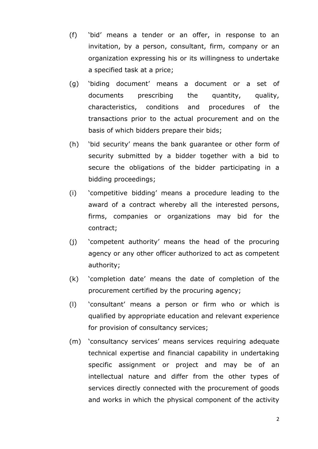- (f) "bid" means a tender or an offer, in response to an invitation, by a person, consultant, firm, company or an organization expressing his or its willingness to undertake a specified task at a price;
- (g) "biding document" means a document or a set of documents prescribing the quantity, quality, characteristics, conditions and procedures of the transactions prior to the actual procurement and on the basis of which bidders prepare their bids;
- (h) "bid security" means the bank guarantee or other form of security submitted by a bidder together with a bid to secure the obligations of the bidder participating in a bidding proceedings;
- (i) "competitive bidding" means a procedure leading to the award of a contract whereby all the interested persons, firms, companies or organizations may bid for the contract;
- (j) "competent authority" means the head of the procuring agency or any other officer authorized to act as competent authority;
- (k) "completion date" means the date of completion of the procurement certified by the procuring agency;
- (l) "consultant" means a person or firm who or which is qualified by appropriate education and relevant experience for provision of consultancy services;
- (m) "consultancy services" means services requiring adequate technical expertise and financial capability in undertaking specific assignment or project and may be of an intellectual nature and differ from the other types of services directly connected with the procurement of goods and works in which the physical component of the activity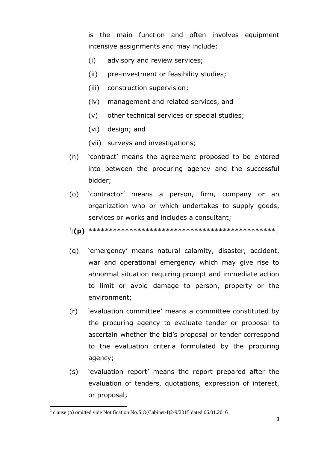is the main function and often involves equipment intensive assignments and may include:

- (i) advisory and review services;
- (ii) pre-investment or feasibility studies;
- (iii) construction supervision;
- (iv) management and related services, and
- (v) other technical services or special studies;
- (vi) design; and
- (vii) surveys and investigations;
- (n) "contract" means the agreement proposed to be entered into between the procuring agency and the successful bidder;
- (o) "contractor" means a person, firm, company or an organization who or which undertakes to supply goods, services or works and includes a consultant;
- 1 [**(p)** \*\*\*\*\*\*\*\*\*\*\*\*\*\*\*\*\*\*\*\*\*\*\*\*\*\*\*\*\*\*\*\*\*\*\*\*\*\*\*\*\*\*\*\*\*\*]
- (q) "emergency" means natural calamity, disaster, accident, war and operational emergency which may give rise to abnormal situation requiring prompt and immediate action to limit or avoid damage to person, property or the environment;
- (r) "evaluation committee" means a committee constituted by the procuring agency to evaluate tender or proposal to ascertain whether the bid"s proposal or tender correspond to the evaluation criteria formulated by the procuring agency;
- (s) "evaluation report" means the report prepared after the evaluation of tenders, quotations, expression of interest, or proposal;

 $\overline{a}$ <sup>1</sup> clause (p) omitted vide Notification No.S.O(Cabinet-I)2-9/2015 dated 06.01.2016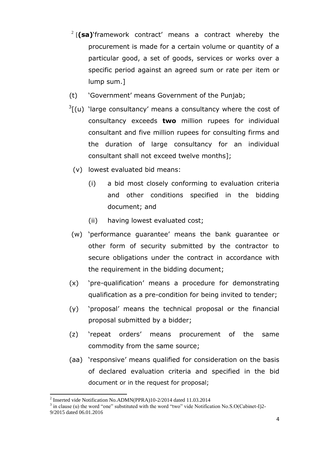- 2 [**(sa)**"framework contract" means a contract whereby the procurement is made for a certain volume or quantity of a particular good, a set of goods, services or works over a specific period against an agreed sum or rate per item or lump sum.]
- (t) "Government" means Government of the Punjab;
- $3$ [(u) 'large consultancy' means a consultancy where the cost of consultancy exceeds **two** million rupees for individual consultant and five million rupees for consulting firms and the duration of large consultancy for an individual consultant shall not exceed twelve months];
	- (v) lowest evaluated bid means:
		- (i) a bid most closely conforming to evaluation criteria and other conditions specified in the bidding document; and
		- (ii) having lowest evaluated cost;
- (w) "performance guarantee" means the bank guarantee or other form of security submitted by the contractor to secure obligations under the contract in accordance with the requirement in the bidding document;
- (x) "pre-qualification" means a procedure for demonstrating qualification as a pre-condition for being invited to tender;
- (y) "proposal" means the technical proposal or the financial proposal submitted by a bidder;
- (z) "repeat orders" means procurement of the same commodity from the same source;
- (aa) "responsive" means qualified for consideration on the basis of declared evaluation criteria and specified in the bid document or in the request for proposal;

 2 Inserted vide Notification No.ADMN(PPRA)10-2/2014 dated 11.03.2014

 $3$  in clause (u) the word "one" substituted with the word "two" vide Notification No.S.O(Cabinet-I)2-9/2015 dated 06.01.2016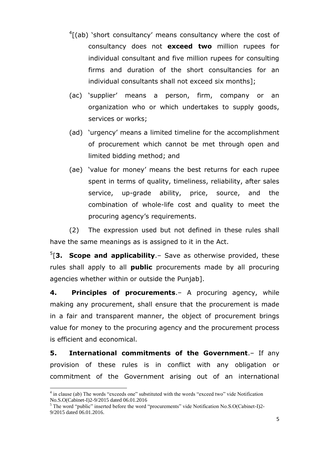- $\frac{4}{1}$ (ab) 'short consultancy' means consultancy where the cost of consultancy does not **exceed two** million rupees for individual consultant and five million rupees for consulting firms and duration of the short consultancies for an individual consultants shall not exceed six months];
- (ac) "supplier" means a person, firm, company or an organization who or which undertakes to supply goods, services or works;
- (ad) "urgency" means a limited timeline for the accomplishment of procurement which cannot be met through open and limited bidding method; and
- (ae) "value for money" means the best returns for each rupee spent in terms of quality, timeliness, reliability, after sales service, up-grade ability, price, source, and the combination of whole-life cost and quality to meet the procuring agency"s requirements.

(2) The expression used but not defined in these rules shall have the same meanings as is assigned to it in the Act.

5 [**3. Scope and applicability**.– Save as otherwise provided, these rules shall apply to all **public** procurements made by all procuring agencies whether within or outside the Punjab].

**4. Principles of procurements**.– A procuring agency, while making any procurement, shall ensure that the procurement is made in a fair and transparent manner, the object of procurement brings value for money to the procuring agency and the procurement process is efficient and economical.

**5. International commitments of the Government**.– If any provision of these rules is in conflict with any obligation or commitment of the Government arising out of an international

<sup>&</sup>lt;sup>4</sup> in clause (ab) The words "exceeds one" substituted with the words "exceed two" vide Notification No.S.O(Cabinet-I)2-9/2015 dated 06.01.2016

<sup>&</sup>lt;sup>5</sup> The word "public" inserted before the word "procurements" vide Notification No.S.O(Cabinet-I)2-9/2015 dated 06.01.2016.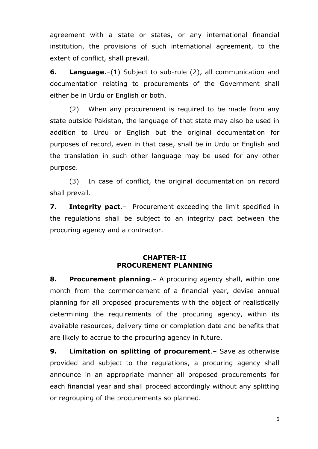agreement with a state or states, or any international financial institution, the provisions of such international agreement, to the extent of conflict, shall prevail.

**6. Language**.–(1) Subject to sub-rule (2), all communication and documentation relating to procurements of the Government shall either be in Urdu or English or both.

(2) When any procurement is required to be made from any state outside Pakistan, the language of that state may also be used in addition to Urdu or English but the original documentation for purposes of record, even in that case, shall be in Urdu or English and the translation in such other language may be used for any other purpose.

(3) In case of conflict, the original documentation on record shall prevail.

**7. Integrity pact**.– Procurement exceeding the limit specified in the regulations shall be subject to an integrity pact between the procuring agency and a contractor.

### **CHAPTER-II PROCUREMENT PLANNING**

**8. Procurement planning**.– A procuring agency shall, within one month from the commencement of a financial year, devise annual planning for all proposed procurements with the object of realistically determining the requirements of the procuring agency, within its available resources, delivery time or completion date and benefits that are likely to accrue to the procuring agency in future.

**9. Limitation on splitting of procurement**.– Save as otherwise provided and subject to the regulations, a procuring agency shall announce in an appropriate manner all proposed procurements for each financial year and shall proceed accordingly without any splitting or regrouping of the procurements so planned.

6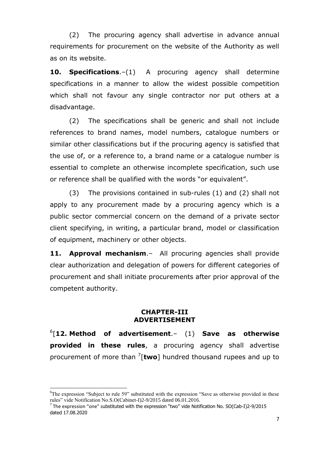(2) The procuring agency shall advertise in advance annual requirements for procurement on the website of the Authority as well as on its website.

**10. Specifications**.–(1) A procuring agency shall determine specifications in a manner to allow the widest possible competition which shall not favour any single contractor nor put others at a disadvantage.

(2) The specifications shall be generic and shall not include references to brand names, model numbers, catalogue numbers or similar other classifications but if the procuring agency is satisfied that the use of, or a reference to, a brand name or a catalogue number is essential to complete an otherwise incomplete specification, such use or reference shall be qualified with the words "or equivalent".

(3) The provisions contained in sub-rules (1) and (2) shall not apply to any procurement made by a procuring agency which is a public sector commercial concern on the demand of a private sector client specifying, in writing, a particular brand, model or classification of equipment, machinery or other objects.

**11. Approval mechanism**.– All procuring agencies shall provide clear authorization and delegation of powers for different categories of procurement and shall initiate procurements after prior approval of the competent authority.

#### **CHAPTER-III ADVERTISEMENT**

6 [**12. Method of advertisement**.– (1) **Save as otherwise provided in these rules**, a procuring agency shall advertise procurement of more than <sup>7</sup> [**two**] hundred thousand rupees and up to

<sup>&</sup>lt;sup>6</sup>The expression "Subject to rule 59" substituted with the expression "Save as otherwise provided in these rules" vide Notification No.S.O(Cabinet-I)2-9/2015 dated 06.01.2016.

 $^7$  The expression "one" substituted with the expression "two" vide Notification No. SO(Cab-I)2-9/2015 dated 17.08.2020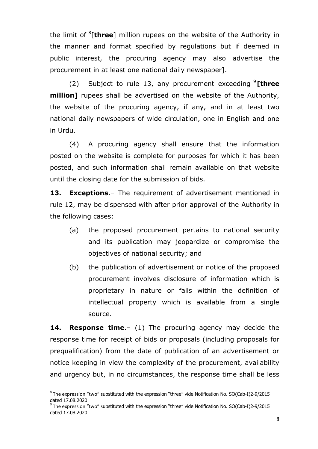the limit of <sup>8</sup> [**three**] million rupees on the website of the Authority in the manner and format specified by regulations but if deemed in public interest, the procuring agency may also advertise the procurement in at least one national daily newspaper].

(2) Subject to rule 13, any procurement exceeding <sup>9</sup> **[three million]** rupees shall be advertised on the website of the Authority, the website of the procuring agency, if any, and in at least two national daily newspapers of wide circulation, one in English and one in Urdu.

(4) A procuring agency shall ensure that the information posted on the website is complete for purposes for which it has been posted, and such information shall remain available on that website until the closing date for the submission of bids.

**13. Exceptions**.– The requirement of advertisement mentioned in rule 12, may be dispensed with after prior approval of the Authority in the following cases:

- (a) the proposed procurement pertains to national security and its publication may jeopardize or compromise the objectives of national security; and
- (b) the publication of advertisement or notice of the proposed procurement involves disclosure of information which is proprietary in nature or falls within the definition of intellectual property which is available from a single source.

**14. Response time**.– (1) The procuring agency may decide the response time for receipt of bids or proposals (including proposals for prequalification) from the date of publication of an advertisement or notice keeping in view the complexity of the procurement, availability and urgency but, in no circumstances, the response time shall be less

 $^8$  The expression "two" substituted with the expression "three" vide Notification No. SO(Cab-I)2-9/2015 dated 17.08.2020

<sup>9</sup> The expression "two" substituted with the expression "three" vide Notification No. SO(Cab-I)2-9/2015 dated 17.08.2020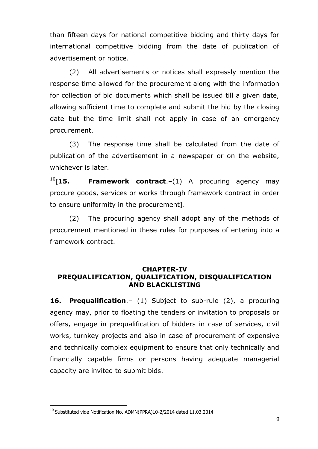than fifteen days for national competitive bidding and thirty days for international competitive bidding from the date of publication of advertisement or notice.

(2) All advertisements or notices shall expressly mention the response time allowed for the procurement along with the information for collection of bid documents which shall be issued till a given date, allowing sufficient time to complete and submit the bid by the closing date but the time limit shall not apply in case of an emergency procurement.

(3) The response time shall be calculated from the date of publication of the advertisement in a newspaper or on the website, whichever is later.

<sup>10</sup>[**15. Framework contract**.–(1) A procuring agency may procure goods, services or works through framework contract in order to ensure uniformity in the procurement].

(2) The procuring agency shall adopt any of the methods of procurement mentioned in these rules for purposes of entering into a framework contract.

### **CHAPTER-IV PREQUALIFICATION, QUALIFICATION, DISQUALIFICATION AND BLACKLISTING**

**16. Prequalification**.– (1) Subject to sub-rule (2), a procuring agency may, prior to floating the tenders or invitation to proposals or offers, engage in prequalification of bidders in case of services, civil works, turnkey projects and also in case of procurement of expensive and technically complex equipment to ensure that only technically and financially capable firms or persons having adequate managerial capacity are invited to submit bids.

 $^{10}$  Substituted vide Notification No. ADMN(PPRA)10-2/2014 dated 11.03.2014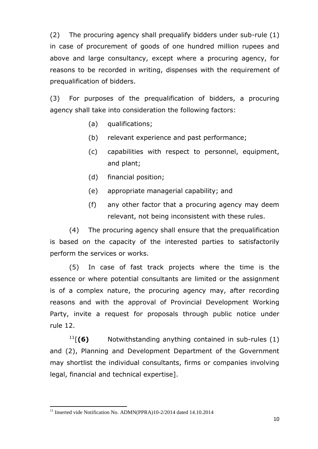(2) The procuring agency shall prequalify bidders under sub-rule (1) in case of procurement of goods of one hundred million rupees and above and large consultancy, except where a procuring agency, for reasons to be recorded in writing, dispenses with the requirement of prequalification of bidders.

(3) For purposes of the prequalification of bidders, a procuring agency shall take into consideration the following factors:

- (a) qualifications;
- (b) relevant experience and past performance;
- (c) capabilities with respect to personnel, equipment, and plant;
- (d) financial position;
- (e) appropriate managerial capability; and
- (f) any other factor that a procuring agency may deem relevant, not being inconsistent with these rules.

(4) The procuring agency shall ensure that the prequalification is based on the capacity of the interested parties to satisfactorily perform the services or works.

(5) In case of fast track projects where the time is the essence or where potential consultants are limited or the assignment is of a complex nature, the procuring agency may, after recording reasons and with the approval of Provincial Development Working Party, invite a request for proposals through public notice under rule 12.

<sup>11</sup>[**(6)** Notwithstanding anything contained in sub-rules (1) and (2), Planning and Development Department of the Government may shortlist the individual consultants, firms or companies involving legal, financial and technical expertise].

 $\overline{a}$ <sup>11</sup> Inserted vide Notification No. ADMN(PPRA)10-2/2014 dated 14.10.2014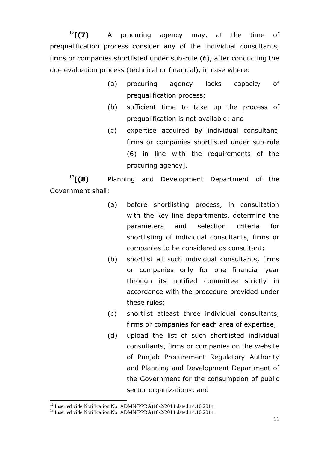<sup>12</sup>[**(7)** A procuring agency may, at the time of prequalification process consider any of the individual consultants, firms or companies shortlisted under sub-rule (6), after conducting the due evaluation process (technical or financial), in case where:

- (a) procuring agency lacks capacity of prequalification process;
- (b) sufficient time to take up the process of prequalification is not available; and
- (c) expertise acquired by individual consultant, firms or companies shortlisted under sub-rule (6) in line with the requirements of the procuring agency].

<sup>13</sup>[**(8)** Planning and Development Department of the Government shall:

- (a) before shortlisting process, in consultation with the key line departments, determine the parameters and selection criteria for shortlisting of individual consultants, firms or companies to be considered as consultant;
- (b) shortlist all such individual consultants, firms or companies only for one financial year through its notified committee strictly in accordance with the procedure provided under these rules;
- (c) shortlist atleast three individual consultants, firms or companies for each area of expertise;
- (d) upload the list of such shortlisted individual consultants, firms or companies on the website of Punjab Procurement Regulatory Authority and Planning and Development Department of the Government for the consumption of public sector organizations; and

<sup>&</sup>lt;sup>12</sup> Inserted vide Notification No. ADMN(PPRA)10-2/2014 dated 14.10.2014

<sup>&</sup>lt;sup>13</sup> Inserted vide Notification No. ADMN(PPRA)10-2/2014 dated 14.10.2014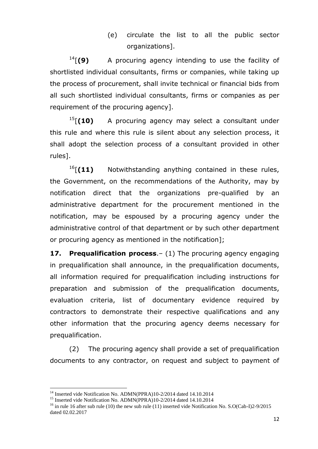# (e) circulate the list to all the public sector organizations].

<sup>14</sup>[**(9)** A procuring agency intending to use the facility of shortlisted individual consultants, firms or companies, while taking up the process of procurement, shall invite technical or financial bids from all such shortlisted individual consultants, firms or companies as per requirement of the procuring agency].

<sup>15</sup>[**(10)** A procuring agency may select a consultant under this rule and where this rule is silent about any selection process, it shall adopt the selection process of a consultant provided in other rules].

<sup>16</sup>[(11) Notwithstanding anything contained in these rules, the Government, on the recommendations of the Authority, may by notification direct that the organizations pre-qualified by an administrative department for the procurement mentioned in the notification, may be espoused by a procuring agency under the administrative control of that department or by such other department or procuring agency as mentioned in the notification];

**17. Prequalification process**.– (1) The procuring agency engaging in prequalification shall announce, in the prequalification documents, all information required for prequalification including instructions for preparation and submission of the prequalification documents, evaluation criteria, list of documentary evidence required by contractors to demonstrate their respective qualifications and any other information that the procuring agency deems necessary for prequalification.

(2) The procuring agency shall provide a set of prequalification documents to any contractor, on request and subject to payment of

<sup>&</sup>lt;sup>14</sup> Inserted vide Notification No. ADMN(PPRA)10-2/2014 dated 14.10.2014

<sup>&</sup>lt;sup>15</sup> Inserted vide Notification No. ADMN(PPRA)10-2/2014 dated 14.10.2014

<sup>&</sup>lt;sup>16</sup> in rule 16 after sub rule (10) the new sub rule (11) inserted vide Notification No. S.O(Cab-I)2-9/2015 dated 02.02.2017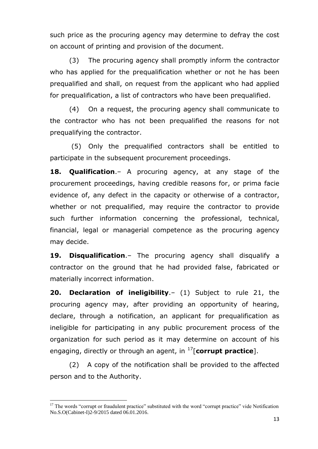such price as the procuring agency may determine to defray the cost on account of printing and provision of the document.

(3) The procuring agency shall promptly inform the contractor who has applied for the prequalification whether or not he has been prequalified and shall, on request from the applicant who had applied for prequalification, a list of contractors who have been prequalified.

(4) On a request, the procuring agency shall communicate to the contractor who has not been prequalified the reasons for not prequalifying the contractor.

(5) Only the prequalified contractors shall be entitled to participate in the subsequent procurement proceedings.

**18. Qualification**.– A procuring agency, at any stage of the procurement proceedings, having credible reasons for, or prima facie evidence of, any defect in the capacity or otherwise of a contractor, whether or not prequalified, may require the contractor to provide such further information concerning the professional, technical, financial, legal or managerial competence as the procuring agency may decide.

**19. Disqualification**.– The procuring agency shall disqualify a contractor on the ground that he had provided false, fabricated or materially incorrect information.

**20. Declaration of ineligibility**.– (1) Subject to rule 21, the procuring agency may, after providing an opportunity of hearing, declare, through a notification, an applicant for prequalification as ineligible for participating in any public procurement process of the organization for such period as it may determine on account of his engaging, directly or through an agent, in <sup>17</sup>[**corrupt practice**].

(2) A copy of the notification shall be provided to the affected person and to the Authority.

<sup>&</sup>lt;sup>17</sup> The words "corrupt or fraudulent practice" substituted with the word "corrupt practice" vide Notification No.S.O(Cabinet-I)2-9/2015 dated 06.01.2016.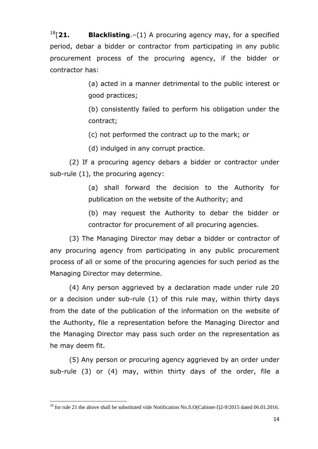<sup>18</sup>[**21. Blacklisting**.–(1) A procuring agency may, for a specified period, debar a bidder or contractor from participating in any public procurement process of the procuring agency, if the bidder or contractor has:

> (a) acted in a manner detrimental to the public interest or good practices;

> (b) consistently failed to perform his obligation under the contract;

(c) not performed the contract up to the mark; or

(d) indulged in any corrupt practice.

(2) If a procuring agency debars a bidder or contractor under sub-rule (1), the procuring agency:

> (a) shall forward the decision to the Authority for publication on the website of the Authority; and

> (b) may request the Authority to debar the bidder or contractor for procurement of all procuring agencies.

(3) The Managing Director may debar a bidder or contractor of any procuring agency from participating in any public procurement process of all or some of the procuring agencies for such period as the Managing Director may determine.

(4) Any person aggrieved by a declaration made under rule 20 or a decision under sub-rule (1) of this rule may, within thirty days from the date of the publication of the information on the website of the Authority, file a representation before the Managing Director and the Managing Director may pass such order on the representation as he may deem fit.

(5) Any person or procuring agency aggrieved by an order under sub-rule (3) or (4) may, within thirty days of the order, file a

<sup>&</sup>lt;sup>18</sup> for rule 21 the above shall be substituted vide Notification No.S.O(Cabinet-I)2-9/2015 dated 06.01.2016.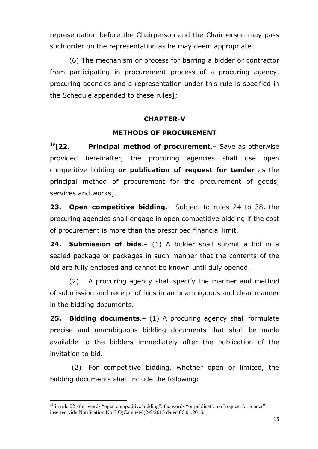representation before the Chairperson and the Chairperson may pass such order on the representation as he may deem appropriate.

(6) The mechanism or process for barring a bidder or contractor from participating in procurement process of a procuring agency, procuring agencies and a representation under this rule is specified in the Schedule appended to these rules];

## **CHAPTER-V**

## **METHODS OF PROCUREMENT**

<sup>19</sup>[**22. Principal method of procurement**.– Save as otherwise provided hereinafter, the procuring agencies shall use open competitive bidding **or publication of request for tender** as the principal method of procurement for the procurement of goods, services and works].

**23. Open competitive bidding**.– Subject to rules 24 to 38, the procuring agencies shall engage in open competitive bidding if the cost of procurement is more than the prescribed financial limit.

**24. Submission of bids**.– (1) A bidder shall submit a bid in a sealed package or packages in such manner that the contents of the bid are fully enclosed and cannot be known until duly opened.

(2) A procuring agency shall specify the manner and method of submission and receipt of bids in an unambiguous and clear manner in the bidding documents.

**25. Bidding documents**.– (1) A procuring agency shall formulate precise and unambiguous bidding documents that shall be made available to the bidders immediately after the publication of the invitation to bid.

(2) For competitive bidding, whether open or limited, the bidding documents shall include the following:

 $<sup>19</sup>$  in rule 22 after words "open competitive bidding", the words "or publication of request for tender"</sup> inserted vide Notification No.S.O(Cabinet-I)2-9/2015 dated 06.01.2016.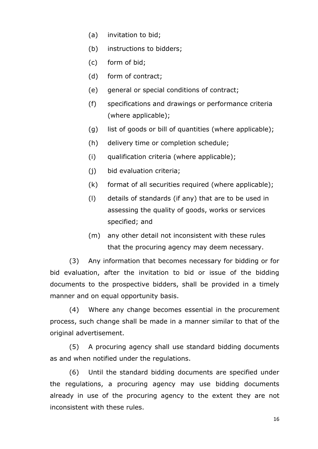- (a) invitation to bid;
- (b) instructions to bidders;
- (c) form of bid;
- (d) form of contract;
- (e) general or special conditions of contract;
- (f) specifications and drawings or performance criteria (where applicable);
- (g) list of goods or bill of quantities (where applicable);
- (h) delivery time or completion schedule;
- (i) qualification criteria (where applicable);
- (j) bid evaluation criteria;
- (k) format of all securities required (where applicable);
- (l) details of standards (if any) that are to be used in assessing the quality of goods, works or services specified; and
- (m) any other detail not inconsistent with these rules that the procuring agency may deem necessary.

(3) Any information that becomes necessary for bidding or for bid evaluation, after the invitation to bid or issue of the bidding documents to the prospective bidders, shall be provided in a timely manner and on equal opportunity basis.

(4) Where any change becomes essential in the procurement process, such change shall be made in a manner similar to that of the original advertisement.

(5) A procuring agency shall use standard bidding documents as and when notified under the regulations.

(6) Until the standard bidding documents are specified under the regulations, a procuring agency may use bidding documents already in use of the procuring agency to the extent they are not inconsistent with these rules.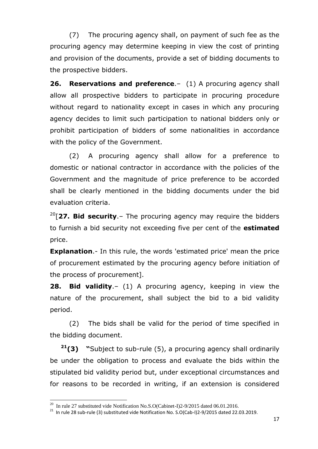(7) The procuring agency shall, on payment of such fee as the procuring agency may determine keeping in view the cost of printing and provision of the documents, provide a set of bidding documents to the prospective bidders.

**26. Reservations and preference**.– (1) A procuring agency shall allow all prospective bidders to participate in procuring procedure without regard to nationality except in cases in which any procuring agency decides to limit such participation to national bidders only or prohibit participation of bidders of some nationalities in accordance with the policy of the Government.

(2) A procuring agency shall allow for a preference to domestic or national contractor in accordance with the policies of the Government and the magnitude of price preference to be accorded shall be clearly mentioned in the bidding documents under the bid evaluation criteria.

<sup>20</sup>[**27. Bid security**.– The procuring agency may require the bidders to furnish a bid security not exceeding five per cent of the **estimated** price.

**Explanation.**- In this rule, the words 'estimated price' mean the price of procurement estimated by the procuring agency before initiation of the process of procurement].

**28. Bid validity**.– (1) A procuring agency, keeping in view the nature of the procurement, shall subject the bid to a bid validity period.

(2) The bids shall be valid for the period of time specified in the bidding document.

**<sup>21</sup>(3) "**Subject to sub-rule (5), a procuring agency shall ordinarily be under the obligation to process and evaluate the bids within the stipulated bid validity period but, under exceptional circumstances and for reasons to be recorded in writing, if an extension is considered

<sup>&</sup>lt;sup>20</sup> In rule 27 substituted vide Notification No.S.O(Cabinet-I)2-9/2015 dated 06.01.2016.

 $21$  In rule 28 sub-rule (3) substituted vide Notification No. S.O(Cab-I)2-9/2015 dated 22.03.2019.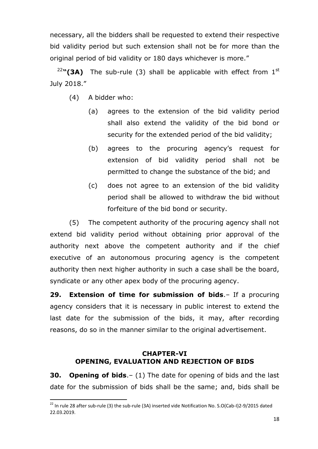necessary, all the bidders shall be requested to extend their respective bid validity period but such extension shall not be for more than the original period of bid validity or 180 days whichever is more."

<sup>22</sup>"(3A) The sub-rule (3) shall be applicable with effect from 1<sup>st</sup> July 2018."

(4) A bidder who:

 $\overline{a}$ 

- (a) agrees to the extension of the bid validity period shall also extend the validity of the bid bond or security for the extended period of the bid validity;
- (b) agrees to the procuring agency"s request for extension of bid validity period shall not be permitted to change the substance of the bid; and
- (c) does not agree to an extension of the bid validity period shall be allowed to withdraw the bid without forfeiture of the bid bond or security.

(5) The competent authority of the procuring agency shall not extend bid validity period without obtaining prior approval of the authority next above the competent authority and if the chief executive of an autonomous procuring agency is the competent authority then next higher authority in such a case shall be the board, syndicate or any other apex body of the procuring agency.

**29. Extension of time for submission of bids**.– If a procuring agency considers that it is necessary in public interest to extend the last date for the submission of the bids, it may, after recording reasons, do so in the manner similar to the original advertisement.

## **CHAPTER-VI OPENING, EVALUATION AND REJECTION OF BIDS**

**30. Opening of bids**.– (1) The date for opening of bids and the last date for the submission of bids shall be the same; and, bids shall be

 $22$  In rule 28 after sub-rule (3) the sub-rule (3A) inserted vide Notification No. S.O(Cab-I)2-9/2015 dated 22.03.2019.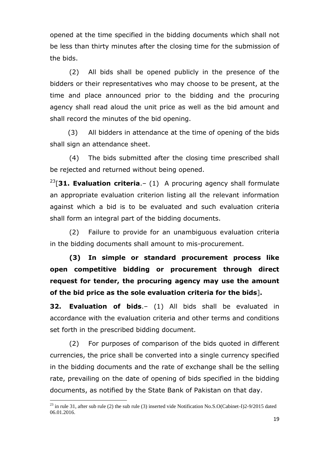opened at the time specified in the bidding documents which shall not be less than thirty minutes after the closing time for the submission of the bids.

(2) All bids shall be opened publicly in the presence of the bidders or their representatives who may choose to be present, at the time and place announced prior to the bidding and the procuring agency shall read aloud the unit price as well as the bid amount and shall record the minutes of the bid opening.

 (3) All bidders in attendance at the time of opening of the bids shall sign an attendance sheet.

(4) The bids submitted after the closing time prescribed shall be rejected and returned without being opened.

<sup>23</sup>[**31. Evaluation criteria**.– (1) A procuring agency shall formulate an appropriate evaluation criterion listing all the relevant information against which a bid is to be evaluated and such evaluation criteria shall form an integral part of the bidding documents.

(2) Failure to provide for an unambiguous evaluation criteria in the bidding documents shall amount to mis-procurement.

**(3) In simple or standard procurement process like open competitive bidding or procurement through direct request for tender, the procuring agency may use the amount of the bid price as the sole evaluation criteria for the bids**]**.**

**32. Evaluation of bids**.– (1) All bids shall be evaluated in accordance with the evaluation criteria and other terms and conditions set forth in the prescribed bidding document.

(2) For purposes of comparison of the bids quoted in different currencies, the price shall be converted into a single currency specified in the bidding documents and the rate of exchange shall be the selling rate, prevailing on the date of opening of bids specified in the bidding documents, as notified by the State Bank of Pakistan on that day.

<sup>&</sup>lt;sup>23</sup> in rule 31, after sub rule (2) the sub rule (3) inserted vide Notification No.S.O(Cabinet-I)2-9/2015 dated 06.01.2016.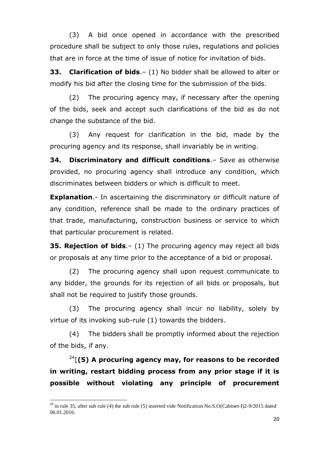(3) A bid once opened in accordance with the prescribed procedure shall be subject to only those rules, regulations and policies that are in force at the time of issue of notice for invitation of bids.

**33. Clarification of bids**.– (1) No bidder shall be allowed to alter or modify his bid after the closing time for the submission of the bids.

(2) The procuring agency may, if necessary after the opening of the bids, seek and accept such clarifications of the bid as do not change the substance of the bid.

(3) Any request for clarification in the bid, made by the procuring agency and its response, shall invariably be in writing.

**34. Discriminatory and difficult conditions**.– Save as otherwise provided, no procuring agency shall introduce any condition, which discriminates between bidders or which is difficult to meet.

**Explanation.**- In ascertaining the discriminatory or difficult nature of any condition, reference shall be made to the ordinary practices of that trade, manufacturing, construction business or service to which that particular procurement is related.

**35. Rejection of bids**.– (1) The procuring agency may reject all bids or proposals at any time prior to the acceptance of a bid or proposal.

(2) The procuring agency shall upon request communicate to any bidder, the grounds for its rejection of all bids or proposals, but shall not be required to justify those grounds.

(3) The procuring agency shall incur no liability, solely by virtue of its invoking sub-rule (1) towards the bidders.

(4) The bidders shall be promptly informed about the rejection of the bids, if any.

<sup>24</sup>[**(5) A procuring agency may, for reasons to be recorded in writing, restart bidding process from any prior stage if it is possible without violating any principle of procurement** 

<sup>&</sup>lt;sup>24</sup> in rule 35, after sub rule (4) the sub rule (5) inserted vide Notification No.S.O(Cabinet-I)2-9/2015 dated 06.01.2016.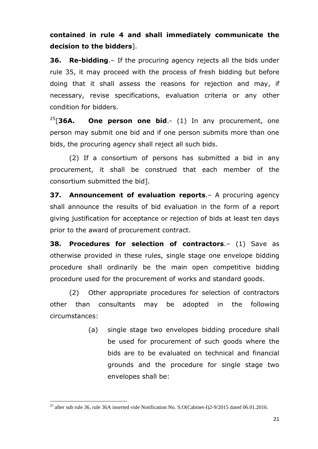# **contained in rule 4 and shall immediately communicate the decision to the bidders**].

**36. Re-bidding**.– If the procuring agency rejects all the bids under rule 35, it may proceed with the process of fresh bidding but before doing that it shall assess the reasons for rejection and may, if necessary, revise specifications, evaluation criteria or any other condition for bidders.

<sup>25</sup>[**36A. One person one bid**.- (1) In any procurement, one person may submit one bid and if one person submits more than one bids, the procuring agency shall reject all such bids.

(2) If a consortium of persons has submitted a bid in any procurement, it shall be construed that each member of the consortium submitted the bid].

**37. Announcement of evaluation reports**.– A procuring agency shall announce the results of bid evaluation in the form of a report giving justification for acceptance or rejection of bids at least ten days prior to the award of procurement contract.

**38. Procedures for selection of contractors**.– (1) Save as otherwise provided in these rules, single stage one envelope bidding procedure shall ordinarily be the main open competitive bidding procedure used for the procurement of works and standard goods.

(2) Other appropriate procedures for selection of contractors other than consultants may be adopted in the following circumstances:

> (a) single stage two envelopes bidding procedure shall be used for procurement of such goods where the bids are to be evaluated on technical and financial grounds and the procedure for single stage two envelopes shall be:

<sup>&</sup>lt;sup>25</sup> after sub rule 36, rule 36A inserted vide Notification No. S.O(Cabinet-I)2-9/2015 dated 06.01.2016.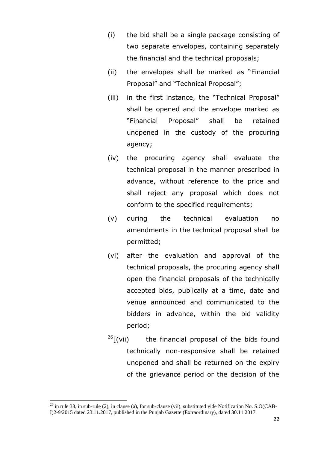- (i) the bid shall be a single package consisting of two separate envelopes, containing separately the financial and the technical proposals;
- (ii) the envelopes shall be marked as "Financial Proposal" and "Technical Proposal";
- (iii) in the first instance, the "Technical Proposal" shall be opened and the envelope marked as "Financial Proposal" shall be retained unopened in the custody of the procuring agency;
- (iv) the procuring agency shall evaluate the technical proposal in the manner prescribed in advance, without reference to the price and shall reject any proposal which does not conform to the specified requirements;
- (v) during the technical evaluation no amendments in the technical proposal shall be permitted;
- (vi) after the evaluation and approval of the technical proposals, the procuring agency shall open the financial proposals of the technically accepted bids, publically at a time, date and venue announced and communicated to the bidders in advance, within the bid validity period;
- $^{26}$ [(vii) the financial proposal of the bids found technically non-responsive shall be retained unopened and shall be returned on the expiry of the grievance period or the decision of the

<sup>&</sup>lt;sup>26</sup> in rule 38, in sub-rule (2), in clause (a), for sub-clause (vii), substituted vide Notification No. S.O(CAB-I)2-9/2015 dated 23.11.2017, published in the Punjab Gazette (Extraordinary), dated 30.11.2017.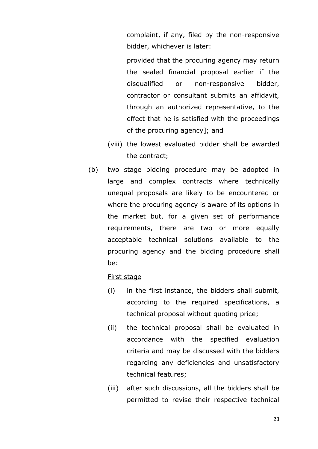complaint, if any, filed by the non-responsive bidder, whichever is later:

provided that the procuring agency may return the sealed financial proposal earlier if the disqualified or non-responsive bidder, contractor or consultant submits an affidavit, through an authorized representative, to the effect that he is satisfied with the proceedings of the procuring agency]; and

- (viii) the lowest evaluated bidder shall be awarded the contract;
- (b) two stage bidding procedure may be adopted in large and complex contracts where technically unequal proposals are likely to be encountered or where the procuring agency is aware of its options in the market but, for a given set of performance requirements, there are two or more equally acceptable technical solutions available to the procuring agency and the bidding procedure shall be:

#### First stage

- (i) in the first instance, the bidders shall submit, according to the required specifications, a technical proposal without quoting price;
- (ii) the technical proposal shall be evaluated in accordance with the specified evaluation criteria and may be discussed with the bidders regarding any deficiencies and unsatisfactory technical features;
- (iii) after such discussions, all the bidders shall be permitted to revise their respective technical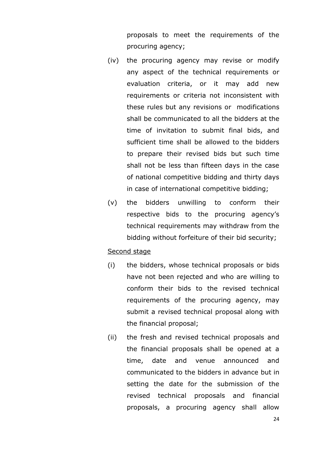proposals to meet the requirements of the procuring agency;

- (iv) the procuring agency may revise or modify any aspect of the technical requirements or evaluation criteria, or it may add new requirements or criteria not inconsistent with these rules but any revisions or modifications shall be communicated to all the bidders at the time of invitation to submit final bids, and sufficient time shall be allowed to the bidders to prepare their revised bids but such time shall not be less than fifteen days in the case of national competitive bidding and thirty days in case of international competitive bidding;
- (v) the bidders unwilling to conform their respective bids to the procuring agency"s technical requirements may withdraw from the bidding without forfeiture of their bid security;

#### Second stage

- (i) the bidders, whose technical proposals or bids have not been rejected and who are willing to conform their bids to the revised technical requirements of the procuring agency, may submit a revised technical proposal along with the financial proposal;
- (ii) the fresh and revised technical proposals and the financial proposals shall be opened at a time, date and venue announced and communicated to the bidders in advance but in setting the date for the submission of the revised technical proposals and financial proposals, a procuring agency shall allow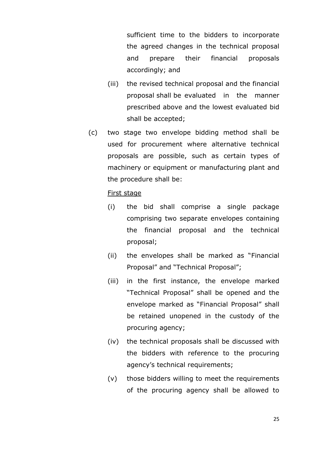sufficient time to the bidders to incorporate the agreed changes in the technical proposal and prepare their financial proposals accordingly; and

- (iii) the revised technical proposal and the financial proposal shall be evaluated in the manner prescribed above and the lowest evaluated bid shall be accepted;
- (c) two stage two envelope bidding method shall be used for procurement where alternative technical proposals are possible, such as certain types of machinery or equipment or manufacturing plant and the procedure shall be:

#### First stage

- (i) the bid shall comprise a single package comprising two separate envelopes containing the financial proposal and the technical proposal;
- (ii) the envelopes shall be marked as "Financial Proposal" and "Technical Proposal";
- (iii) in the first instance, the envelope marked "Technical Proposal" shall be opened and the envelope marked as "Financial Proposal" shall be retained unopened in the custody of the procuring agency;
- (iv) the technical proposals shall be discussed with the bidders with reference to the procuring agency's technical requirements;
- (v) those bidders willing to meet the requirements of the procuring agency shall be allowed to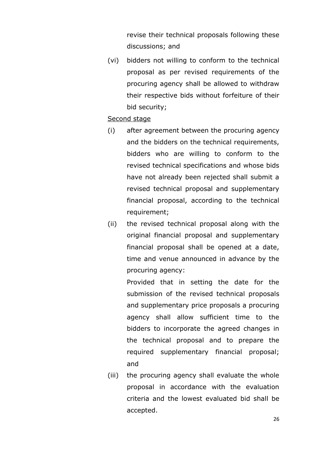revise their technical proposals following these discussions; and

(vi) bidders not willing to conform to the technical proposal as per revised requirements of the procuring agency shall be allowed to withdraw their respective bids without forfeiture of their bid security;

## Second stage

- (i) after agreement between the procuring agency and the bidders on the technical requirements, bidders who are willing to conform to the revised technical specifications and whose bids have not already been rejected shall submit a revised technical proposal and supplementary financial proposal, according to the technical requirement;
- (ii) the revised technical proposal along with the original financial proposal and supplementary financial proposal shall be opened at a date, time and venue announced in advance by the procuring agency:

Provided that in setting the date for the submission of the revised technical proposals and supplementary price proposals a procuring agency shall allow sufficient time to the bidders to incorporate the agreed changes in the technical proposal and to prepare the required supplementary financial proposal; and

(iii) the procuring agency shall evaluate the whole proposal in accordance with the evaluation criteria and the lowest evaluated bid shall be accepted.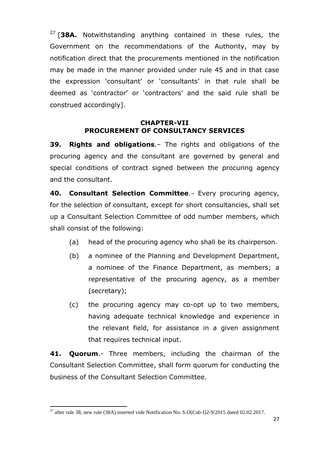<sup>27</sup> [**38A.** Notwithstanding anything contained in these rules, the Government on the recommendations of the Authority, may by notification direct that the procurements mentioned in the notification may be made in the manner provided under rule 45 and in that case the expression "consultant" or "consultants" in that rule shall be deemed as "contractor" or "contractors" and the said rule shall be construed accordingly].

## **CHAPTER-VII PROCUREMENT OF CONSULTANCY SERVICES**

**39. Rights and obligations**.– The rights and obligations of the procuring agency and the consultant are governed by general and special conditions of contract signed between the procuring agency and the consultant.

**40. Consultant Selection Committee**.– Every procuring agency, for the selection of consultant, except for short consultancies, shall set up a Consultant Selection Committee of odd number members, which shall consist of the following:

- (a) head of the procuring agency who shall be its chairperson.
- (b) a nominee of the Planning and Development Department, a nominee of the Finance Department, as members; a representative of the procuring agency, as a member (secretary);
- (c) the procuring agency may co-opt up to two members, having adequate technical knowledge and experience in the relevant field, for assistance in a given assignment that requires technical input.

**41. Quorum**.- Three members, including the chairman of the Consultant Selection Committee, shall form quorum for conducting the business of the Consultant Selection Committee.

 $\overline{a}$ <sup>27</sup> after rule 38, new rule (38A) inserted vide Notification No. S.O(Cab-I)2-9/2015 dated 02.02.2017.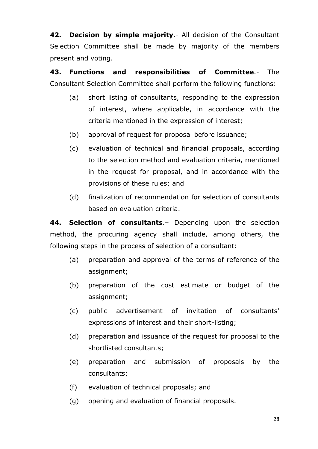**42. Decision by simple majority**.- All decision of the Consultant Selection Committee shall be made by majority of the members present and voting.

**43. Functions and responsibilities of Committee**.- The Consultant Selection Committee shall perform the following functions:

- (a) short listing of consultants, responding to the expression of interest, where applicable, in accordance with the criteria mentioned in the expression of interest;
- (b) approval of request for proposal before issuance;
- (c) evaluation of technical and financial proposals, according to the selection method and evaluation criteria, mentioned in the request for proposal, and in accordance with the provisions of these rules; and
- (d) finalization of recommendation for selection of consultants based on evaluation criteria.

**44. Selection of consultants**.– Depending upon the selection method, the procuring agency shall include, among others, the following steps in the process of selection of a consultant:

- (a) preparation and approval of the terms of reference of the assignment;
- (b) preparation of the cost estimate or budget of the assignment;
- (c) public advertisement of invitation of consultants" expressions of interest and their short-listing;
- (d) preparation and issuance of the request for proposal to the shortlisted consultants;
- (e) preparation and submission of proposals by the consultants;
- (f) evaluation of technical proposals; and
- (g) opening and evaluation of financial proposals.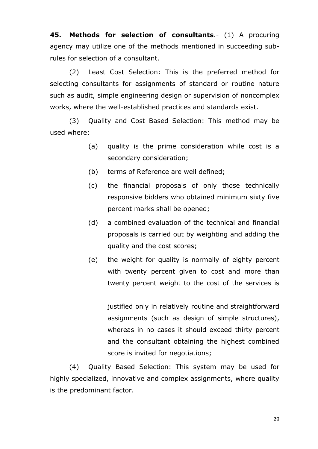**45. Methods for selection of consultants**.- (1) A procuring agency may utilize one of the methods mentioned in succeeding subrules for selection of a consultant.

(2) Least Cost Selection: This is the preferred method for selecting consultants for assignments of standard or routine nature such as audit, simple engineering design or supervision of noncomplex works, where the well-established practices and standards exist.

(3) Quality and Cost Based Selection: This method may be used where:

- (a) quality is the prime consideration while cost is a secondary consideration;
- (b) terms of Reference are well defined;
- (c) the financial proposals of only those technically responsive bidders who obtained minimum sixty five percent marks shall be opened;
- (d) a combined evaluation of the technical and financial proposals is carried out by weighting and adding the quality and the cost scores;
- (e) the weight for quality is normally of eighty percent with twenty percent given to cost and more than twenty percent weight to the cost of the services is

justified only in relatively routine and straightforward assignments (such as design of simple structures), whereas in no cases it should exceed thirty percent and the consultant obtaining the highest combined score is invited for negotiations;

(4) Quality Based Selection: This system may be used for highly specialized, innovative and complex assignments, where quality is the predominant factor.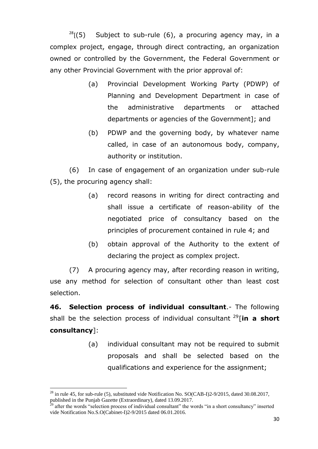$28$ [(5) Subject to sub-rule (6), a procuring agency may, in a complex project, engage, through direct contracting, an organization owned or controlled by the Government, the Federal Government or any other Provincial Government with the prior approval of:

- (a) Provincial Development Working Party (PDWP) of Planning and Development Department in case of the administrative departments or attached departments or agencies of the Government]; and
- (b) PDWP and the governing body, by whatever name called, in case of an autonomous body, company, authority or institution.

(6) In case of engagement of an organization under sub-rule (5), the procuring agency shall:

- (a) record reasons in writing for direct contracting and shall issue a certificate of reason-ability of the negotiated price of consultancy based on the principles of procurement contained in rule 4; and
- (b) obtain approval of the Authority to the extent of declaring the project as complex project.

(7) A procuring agency may, after recording reason in writing, use any method for selection of consultant other than least cost selection.

**46. Selection process of individual consultant**.- The following shall be the selection process of individual consultant  $29$ [in a short **consultancy**]:

> (a) individual consultant may not be required to submit proposals and shall be selected based on the qualifications and experience for the assignment;

 $\overline{a}$  $^{28}$  in rule 45, for sub-rule (5), substituted vide Notification No. SO(CAB-I)2-9/2015, dated 30.08.2017, published in the Punjab Gazette (Extraordinary), dated 13.09.2017.

<sup>&</sup>lt;sup>29</sup> after the words "selection process of individual consultant" the words "in a short consultancy" inserted vide Notification No.S.O(Cabinet-I)2-9/2015 dated 06.01.2016.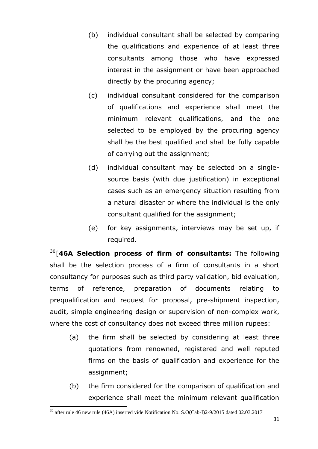- (b) individual consultant shall be selected by comparing the qualifications and experience of at least three consultants among those who have expressed interest in the assignment or have been approached directly by the procuring agency;
- (c) individual consultant considered for the comparison of qualifications and experience shall meet the minimum relevant qualifications, and the one selected to be employed by the procuring agency shall be the best qualified and shall be fully capable of carrying out the assignment;
- (d) individual consultant may be selected on a singlesource basis (with due justification) in exceptional cases such as an emergency situation resulting from a natural disaster or where the individual is the only consultant qualified for the assignment;
- (e) for key assignments, interviews may be set up, if required.

<sup>30</sup>[**46A Selection process of firm of consultants:** The following shall be the selection process of a firm of consultants in a short consultancy for purposes such as third party validation, bid evaluation, terms of reference, preparation of documents relating to prequalification and request for proposal, pre-shipment inspection, audit, simple engineering design or supervision of non-complex work, where the cost of consultancy does not exceed three million rupees:

- (a) the firm shall be selected by considering at least three quotations from renowned, registered and well reputed firms on the basis of qualification and experience for the assignment;
- (b) the firm considered for the comparison of qualification and experience shall meet the minimum relevant qualification

 $\ddot{\phantom{a}}$  $30$  after rule 46 new rule (46A) inserted vide Notification No. S.O(Cab-I)2-9/2015 dated 02.03.2017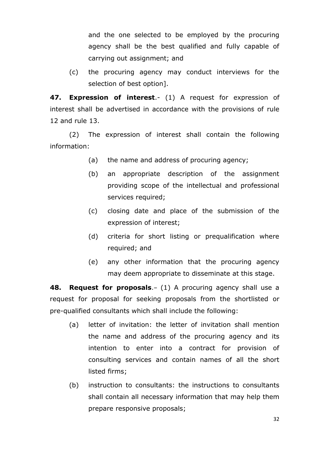and the one selected to be employed by the procuring agency shall be the best qualified and fully capable of carrying out assignment; and

(c) the procuring agency may conduct interviews for the selection of best option].

**47. Expression of interest**.- (1) A request for expression of interest shall be advertised in accordance with the provisions of rule 12 and rule 13.

(2) The expression of interest shall contain the following information:

- (a) the name and address of procuring agency;
- (b) an appropriate description of the assignment providing scope of the intellectual and professional services required;
- (c) closing date and place of the submission of the expression of interest;
- (d) criteria for short listing or prequalification where required; and
- (e) any other information that the procuring agency may deem appropriate to disseminate at this stage.

**48. Request for proposals**.– (1) A procuring agency shall use a request for proposal for seeking proposals from the shortlisted or pre-qualified consultants which shall include the following:

- (a) letter of invitation: the letter of invitation shall mention the name and address of the procuring agency and its intention to enter into a contract for provision of consulting services and contain names of all the short listed firms;
- (b) instruction to consultants: the instructions to consultants shall contain all necessary information that may help them prepare responsive proposals;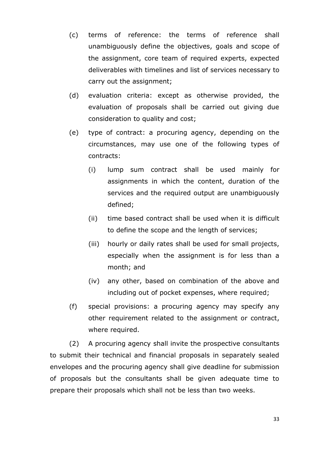- (c) terms of reference: the terms of reference shall unambiguously define the objectives, goals and scope of the assignment, core team of required experts, expected deliverables with timelines and list of services necessary to carry out the assignment;
- (d) evaluation criteria: except as otherwise provided, the evaluation of proposals shall be carried out giving due consideration to quality and cost;
- (e) type of contract: a procuring agency, depending on the circumstances, may use one of the following types of contracts:
	- (i) lump sum contract shall be used mainly for assignments in which the content, duration of the services and the required output are unambiguously defined;
	- (ii) time based contract shall be used when it is difficult to define the scope and the length of services;
	- (iii) hourly or daily rates shall be used for small projects, especially when the assignment is for less than a month; and
	- (iv) any other, based on combination of the above and including out of pocket expenses, where required;
- (f) special provisions: a procuring agency may specify any other requirement related to the assignment or contract, where required.

(2) A procuring agency shall invite the prospective consultants to submit their technical and financial proposals in separately sealed envelopes and the procuring agency shall give deadline for submission of proposals but the consultants shall be given adequate time to prepare their proposals which shall not be less than two weeks.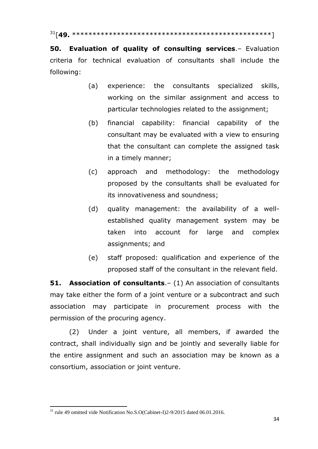<sup>31</sup>[**49.** \*\*\*\*\*\*\*\*\*\*\*\*\*\*\*\*\*\*\*\*\*\*\*\*\*\*\*\*\*\*\*\*\*\*\*\*\*\*\*\*\*\*\*\*\*\*\*\*\*]

**50. Evaluation of quality of consulting services**.– Evaluation criteria for technical evaluation of consultants shall include the following:

- (a) experience: the consultants specialized skills, working on the similar assignment and access to particular technologies related to the assignment;
- (b) financial capability: financial capability of the consultant may be evaluated with a view to ensuring that the consultant can complete the assigned task in a timely manner;
- (c) approach and methodology: the methodology proposed by the consultants shall be evaluated for its innovativeness and soundness;
- (d) quality management: the availability of a wellestablished quality management system may be taken into account for large and complex assignments; and
- (e) staff proposed: qualification and experience of the proposed staff of the consultant in the relevant field.

**51. Association of consultants.** – (1) An association of consultants may take either the form of a joint venture or a subcontract and such association may participate in procurement process with the permission of the procuring agency.

(2) Under a joint venture, all members, if awarded the contract, shall individually sign and be jointly and severally liable for the entire assignment and such an association may be known as a consortium, association or joint venture.

 $\ddot{\phantom{a}}$  $31$  rule 49 omitted vide Notification No.S.O(Cabinet-I)2-9/2015 dated 06.01.2016.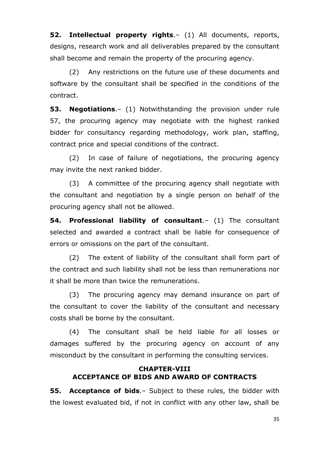**52. Intellectual property rights**.– (1) All documents, reports, designs, research work and all deliverables prepared by the consultant shall become and remain the property of the procuring agency.

(2) Any restrictions on the future use of these documents and software by the consultant shall be specified in the conditions of the contract.

**53. Negotiations**.– (1) Notwithstanding the provision under rule 57, the procuring agency may negotiate with the highest ranked bidder for consultancy regarding methodology, work plan, staffing, contract price and special conditions of the contract.

(2) In case of failure of negotiations, the procuring agency may invite the next ranked bidder.

(3) A committee of the procuring agency shall negotiate with the consultant and negotiation by a single person on behalf of the procuring agency shall not be allowed.

**54. Professional liability of consultant**.– (1) The consultant selected and awarded a contract shall be liable for consequence of errors or omissions on the part of the consultant.

(2) The extent of liability of the consultant shall form part of the contract and such liability shall not be less than remunerations nor it shall be more than twice the remunerations.

(3) The procuring agency may demand insurance on part of the consultant to cover the liability of the consultant and necessary costs shall be borne by the consultant.

(4) The consultant shall be held liable for all losses or damages suffered by the procuring agency on account of any misconduct by the consultant in performing the consulting services.

## **CHAPTER-VIII ACCEPTANCE OF BIDS AND AWARD OF CONTRACTS**

**55. Acceptance of bids**.– Subject to these rules, the bidder with the lowest evaluated bid, if not in conflict with any other law, shall be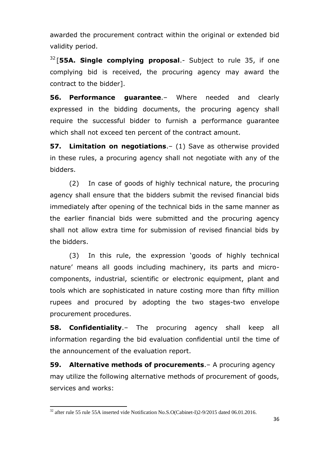awarded the procurement contract within the original or extended bid validity period.

<sup>32</sup> [**55A. Single complying proposal**.- Subject to rule 35, if one complying bid is received, the procuring agency may award the contract to the bidder].

**56. Performance guarantee**.– Where needed and clearly expressed in the bidding documents, the procuring agency shall require the successful bidder to furnish a performance guarantee which shall not exceed ten percent of the contract amount.

**57. Limitation on negotiations**.– (1) Save as otherwise provided in these rules, a procuring agency shall not negotiate with any of the bidders.

(2) In case of goods of highly technical nature, the procuring agency shall ensure that the bidders submit the revised financial bids immediately after opening of the technical bids in the same manner as the earlier financial bids were submitted and the procuring agency shall not allow extra time for submission of revised financial bids by the bidders.

(3) In this rule, the expression "goods of highly technical nature" means all goods including machinery, its parts and microcomponents, industrial, scientific or electronic equipment, plant and tools which are sophisticated in nature costing more than fifty million rupees and procured by adopting the two stages-two envelope procurement procedures.

**58. Confidentiality**.– The procuring agency shall keep all information regarding the bid evaluation confidential until the time of the announcement of the evaluation report.

**59. Alternative methods of procurements**.– A procuring agency may utilize the following alternative methods of procurement of goods, services and works:

 $\ddot{\phantom{a}}$  $32$  after rule 55 rule 55A inserted vide Notification No.S.O(Cabinet-I)2-9/2015 dated 06.01.2016.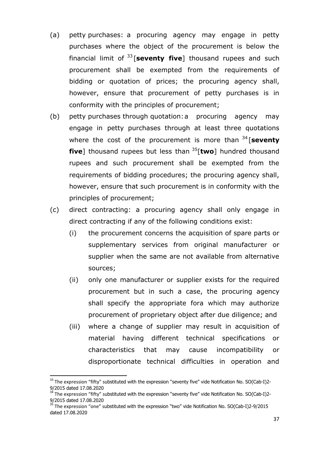- (a) petty purchases: a procuring agency may engage in petty purchases where the object of the procurement is below the financial limit of <sup>33</sup> [**seventy five**] thousand rupees and such procurement shall be exempted from the requirements of bidding or quotation of prices; the procuring agency shall, however, ensure that procurement of petty purchases is in conformity with the principles of procurement;
- (b) petty purchases through quotation:a procuring agency may engage in petty purchases through at least three quotations where the cost of the procurement is more than <sup>34</sup> [**seventy five**] thousand rupees but less than <sup>35</sup>[**two**] hundred thousand rupees and such procurement shall be exempted from the requirements of bidding procedures; the procuring agency shall, however, ensure that such procurement is in conformity with the principles of procurement;
- (c) direct contracting: a procuring agency shall only engage in direct contracting if any of the following conditions exist:
	- (i) the procurement concerns the acquisition of spare parts or supplementary services from original manufacturer or supplier when the same are not available from alternative sources;
	- (ii) only one manufacturer or supplier exists for the required procurement but in such a case, the procuring agency shall specify the appropriate fora which may authorize procurement of proprietary object after due diligence; and
	- (iii) where a change of supplier may result in acquisition of material having different technical specifications or characteristics that may cause incompatibility or disproportionate technical difficulties in operation and

 $\ddot{\phantom{a}}$ 

<sup>&</sup>lt;sup>33</sup> The expression "fifty" substituted with the expression "seventy five" vide Notification No. SO(Cab-I)2-9/2015 dated 17.08.2020

<sup>&</sup>lt;sup>34</sup> The expression "fifty" substituted with the expression "seventy five" vide Notification No. SO(Cab-I)2-9/2015 dated 17.08.2020

<sup>35</sup> The expression "one" substituted with the expression "two" vide Notification No. SO(Cab-I)2-9/2015 dated 17.08.2020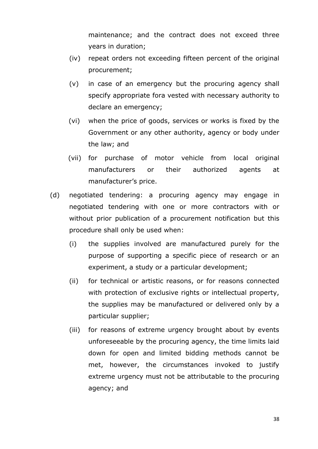maintenance; and the contract does not exceed three years in duration;

- (iv) repeat orders not exceeding fifteen percent of the original procurement;
- (v) in case of an emergency but the procuring agency shall specify appropriate fora vested with necessary authority to declare an emergency;
- (vi) when the price of goods, services or works is fixed by the Government or any other authority, agency or body under the law; and
- (vii) for purchase of motor vehicle from local original manufacturers or their authorized agents at manufacturer"s price.
- (d) negotiated tendering: a procuring agency may engage in negotiated tendering with one or more contractors with or without prior publication of a procurement notification but this procedure shall only be used when:
	- (i) the supplies involved are manufactured purely for the purpose of supporting a specific piece of research or an experiment, a study or a particular development;
	- (ii) for technical or artistic reasons, or for reasons connected with protection of exclusive rights or intellectual property, the supplies may be manufactured or delivered only by a particular supplier;
	- (iii) for reasons of extreme urgency brought about by events unforeseeable by the procuring agency, the time limits laid down for open and limited bidding methods cannot be met, however, the circumstances invoked to justify extreme urgency must not be attributable to the procuring agency; and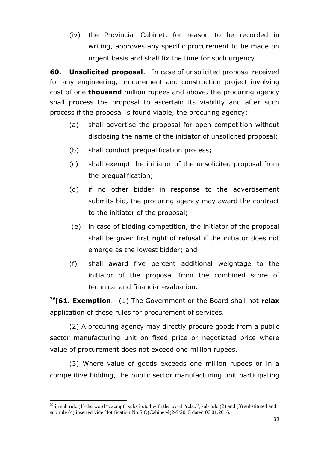(iv) the Provincial Cabinet, for reason to be recorded in writing, approves any specific procurement to be made on urgent basis and shall fix the time for such urgency.

**60. Unsolicited proposal**.– In case of unsolicited proposal received for any engineering, procurement and construction project involving cost of one **thousand** million rupees and above, the procuring agency shall process the proposal to ascertain its viability and after such process if the proposal is found viable, the procuring agency:

- (a) shall advertise the proposal for open competition without disclosing the name of the initiator of unsolicited proposal;
- (b) shall conduct prequalification process;
- (c) shall exempt the initiator of the unsolicited proposal from the prequalification;
- (d) if no other bidder in response to the advertisement submits bid, the procuring agency may award the contract to the initiator of the proposal;
- (e) in case of bidding competition, the initiator of the proposal shall be given first right of refusal if the initiator does not emerge as the lowest bidder; and
- (f) shall award five percent additional weightage to the initiator of the proposal from the combined score of technical and financial evaluation.

<sup>36</sup>[**61. Exemption**.– (1) The Government or the Board shall not **relax** application of these rules for procurement of services.

(2) A procuring agency may directly procure goods from a public sector manufacturing unit on fixed price or negotiated price where value of procurement does not exceed one million rupees.

(3) Where value of goods exceeds one million rupees or in a competitive bidding, the public sector manufacturing unit participating

 $36$  in sub rule (1) the word "exempt" substituted with the word "relax", sub rule (2) and (3) substituted and sub rule (4) inserted vide Notification No.S.O(Cabinet-I)2-9/2015 dated 06.01.2016.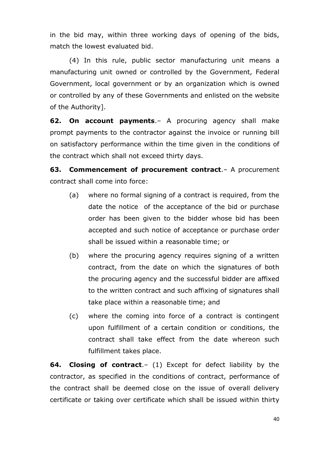in the bid may, within three working days of opening of the bids, match the lowest evaluated bid.

(4) In this rule, public sector manufacturing unit means a manufacturing unit owned or controlled by the Government, Federal Government, local government or by an organization which is owned or controlled by any of these Governments and enlisted on the website of the Authority].

**62. On account payments**.– A procuring agency shall make prompt payments to the contractor against the invoice or running bill on satisfactory performance within the time given in the conditions of the contract which shall not exceed thirty days.

**63. Commencement of procurement contract**.– A procurement contract shall come into force:

- (a) where no formal signing of a contract is required, from the date the notice of the acceptance of the bid or purchase order has been given to the bidder whose bid has been accepted and such notice of acceptance or purchase order shall be issued within a reasonable time; or
- (b) where the procuring agency requires signing of a written contract, from the date on which the signatures of both the procuring agency and the successful bidder are affixed to the written contract and such affixing of signatures shall take place within a reasonable time; and
- (c) where the coming into force of a contract is contingent upon fulfillment of a certain condition or conditions, the contract shall take effect from the date whereon such fulfillment takes place.

**64. Closing of contract**.– (1) Except for defect liability by the contractor, as specified in the conditions of contract, performance of the contract shall be deemed close on the issue of overall delivery certificate or taking over certificate which shall be issued within thirty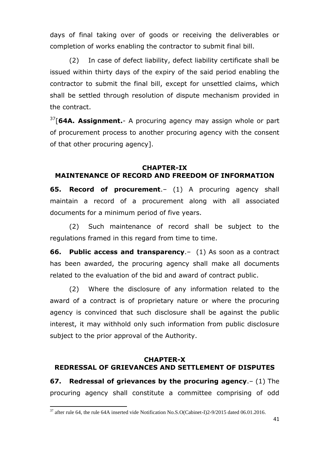days of final taking over of goods or receiving the deliverables or completion of works enabling the contractor to submit final bill.

(2) In case of defect liability, defect liability certificate shall be issued within thirty days of the expiry of the said period enabling the contractor to submit the final bill, except for unsettled claims, which shall be settled through resolution of dispute mechanism provided in the contract.

<sup>37</sup>[**64A. Assignment.**- A procuring agency may assign whole or part of procurement process to another procuring agency with the consent of that other procuring agency].

### **CHAPTER-IX MAINTENANCE OF RECORD AND FREEDOM OF INFORMATION**

**65. Record of procurement**.– (1) A procuring agency shall maintain a record of a procurement along with all associated documents for a minimum period of five years.

(2) Such maintenance of record shall be subject to the regulations framed in this regard from time to time.

**66. Public access and transparency**.– (1) As soon as a contract has been awarded, the procuring agency shall make all documents related to the evaluation of the bid and award of contract public.

(2) Where the disclosure of any information related to the award of a contract is of proprietary nature or where the procuring agency is convinced that such disclosure shall be against the public interest, it may withhold only such information from public disclosure subject to the prior approval of the Authority.

## **CHAPTER-X REDRESSAL OF GRIEVANCES AND SETTLEMENT OF DISPUTES**

**67. Redressal of grievances by the procuring agency**.– (1) The procuring agency shall constitute a committee comprising of odd

 $\ddot{\phantom{a}}$  $37$  after rule 64, the rule 64A inserted vide Notification No.S.O(Cabinet-I)2-9/2015 dated 06.01.2016.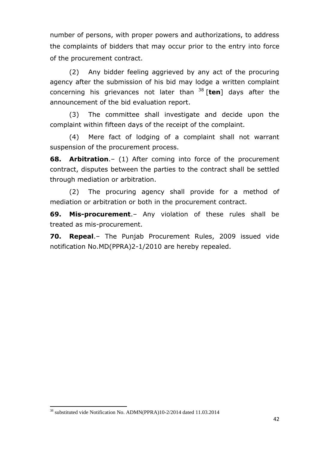number of persons, with proper powers and authorizations, to address the complaints of bidders that may occur prior to the entry into force of the procurement contract.

(2) Any bidder feeling aggrieved by any act of the procuring agency after the submission of his bid may lodge a written complaint concerning his grievances not later than <sup>38</sup> [**ten**] days after the announcement of the bid evaluation report.

(3) The committee shall investigate and decide upon the complaint within fifteen days of the receipt of the complaint.

(4) Mere fact of lodging of a complaint shall not warrant suspension of the procurement process.

**68. Arbitration**.– (1) After coming into force of the procurement contract, disputes between the parties to the contract shall be settled through mediation or arbitration.

(2) The procuring agency shall provide for a method of mediation or arbitration or both in the procurement contract.

**69. Mis-procurement**.– Any violation of these rules shall be treated as mis-procurement.

**70. Repeal**.– The Punjab Procurement Rules, 2009 issued vide notification No.MD(PPRA)2-1/2010 are hereby repealed.

 $\ddot{\phantom{a}}$ 

<sup>&</sup>lt;sup>38</sup> substituted vide Notification No. ADMN(PPRA)10-2/2014 dated 11.03.2014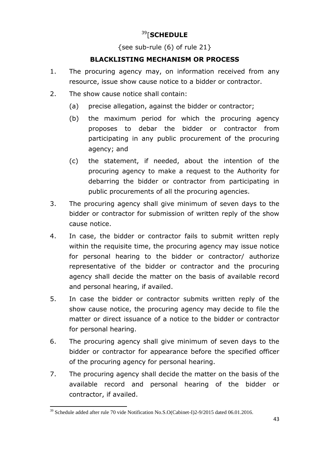# <sup>39</sup>[**SCHEDULE**

{see sub-rule  $(6)$  of rule 21}

## **BLACKLISTING MECHANISM OR PROCESS**

- 1. The procuring agency may, on information received from any resource, issue show cause notice to a bidder or contractor.
- 2. The show cause notice shall contain:
	- (a) precise allegation, against the bidder or contractor;
	- (b) the maximum period for which the procuring agency proposes to debar the bidder or contractor from participating in any public procurement of the procuring agency; and
	- (c) the statement, if needed, about the intention of the procuring agency to make a request to the Authority for debarring the bidder or contractor from participating in public procurements of all the procuring agencies.
- 3. The procuring agency shall give minimum of seven days to the bidder or contractor for submission of written reply of the show cause notice.
- 4. In case, the bidder or contractor fails to submit written reply within the requisite time, the procuring agency may issue notice for personal hearing to the bidder or contractor/ authorize representative of the bidder or contractor and the procuring agency shall decide the matter on the basis of available record and personal hearing, if availed.
- 5. In case the bidder or contractor submits written reply of the show cause notice, the procuring agency may decide to file the matter or direct issuance of a notice to the bidder or contractor for personal hearing.
- 6. The procuring agency shall give minimum of seven days to the bidder or contractor for appearance before the specified officer of the procuring agency for personal hearing.
- 7. The procuring agency shall decide the matter on the basis of the available record and personal hearing of the bidder or contractor, if availed.

 $\ddot{\phantom{a}}$  $39$  Schedule added after rule 70 vide Notification No.S.O(Cabinet-I)2-9/2015 dated 06.01.2016.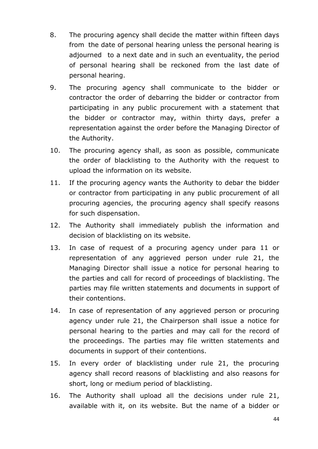- 8. The procuring agency shall decide the matter within fifteen days from the date of personal hearing unless the personal hearing is adjourned to a next date and in such an eventuality, the period of personal hearing shall be reckoned from the last date of personal hearing.
- 9. The procuring agency shall communicate to the bidder or contractor the order of debarring the bidder or contractor from participating in any public procurement with a statement that the bidder or contractor may, within thirty days, prefer a representation against the order before the Managing Director of the Authority.
- 10. The procuring agency shall, as soon as possible, communicate the order of blacklisting to the Authority with the request to upload the information on its website.
- 11. If the procuring agency wants the Authority to debar the bidder or contractor from participating in any public procurement of all procuring agencies, the procuring agency shall specify reasons for such dispensation.
- 12. The Authority shall immediately publish the information and decision of blacklisting on its website.
- 13. In case of request of a procuring agency under para 11 or representation of any aggrieved person under rule 21, the Managing Director shall issue a notice for personal hearing to the parties and call for record of proceedings of blacklisting. The parties may file written statements and documents in support of their contentions.
- 14. In case of representation of any aggrieved person or procuring agency under rule 21, the Chairperson shall issue a notice for personal hearing to the parties and may call for the record of the proceedings. The parties may file written statements and documents in support of their contentions.
- 15. In every order of blacklisting under rule 21, the procuring agency shall record reasons of blacklisting and also reasons for short, long or medium period of blacklisting.
- 16. The Authority shall upload all the decisions under rule 21, available with it, on its website. But the name of a bidder or